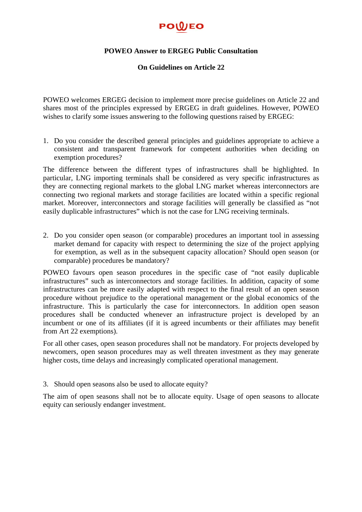## POWEO

## **POWEO Answer to ERGEG Public Consultation**

## **On Guidelines on Article 22**

POWEO welcomes ERGEG decision to implement more precise guidelines on Article 22 and shares most of the principles expressed by ERGEG in draft guidelines. However, POWEO wishes to clarify some issues answering to the following questions raised by ERGEG:

1. Do you consider the described general principles and guidelines appropriate to achieve a consistent and transparent framework for competent authorities when deciding on exemption procedures?

The difference between the different types of infrastructures shall be highlighted. In particular, LNG importing terminals shall be considered as very specific infrastructures as they are connecting regional markets to the global LNG market whereas interconnectors are connecting two regional markets and storage facilities are located within a specific regional market. Moreover, interconnectors and storage facilities will generally be classified as "not easily duplicable infrastructures" which is not the case for LNG receiving terminals.

2. Do you consider open season (or comparable) procedures an important tool in assessing market demand for capacity with respect to determining the size of the project applying for exemption, as well as in the subsequent capacity allocation? Should open season (or comparable) procedures be mandatory?

POWEO favours open season procedures in the specific case of "not easily duplicable infrastructures" such as interconnectors and storage facilities. In addition, capacity of some infrastructures can be more easily adapted with respect to the final result of an open season procedure without prejudice to the operational management or the global economics of the infrastructure. This is particularly the case for interconnectors. In addition open season procedures shall be conducted whenever an infrastructure project is developed by an incumbent or one of its affiliates (if it is agreed incumbents or their affiliates may benefit from Art 22 exemptions).

For all other cases, open season procedures shall not be mandatory. For projects developed by newcomers, open season procedures may as well threaten investment as they may generate higher costs, time delays and increasingly complicated operational management.

3. Should open seasons also be used to allocate equity?

The aim of open seasons shall not be to allocate equity. Usage of open seasons to allocate equity can seriously endanger investment.